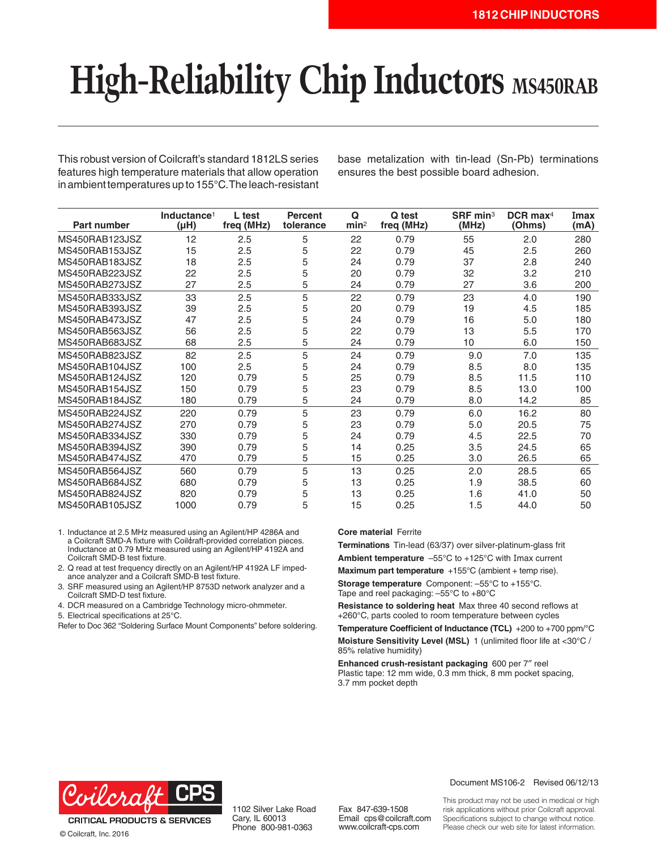## **High-Reliability Chip Inductors** MS450RAB

This robust version of Coilcraft's standard 1812LS series features high temperature materials that allow operation in ambient temperatures up to 155°C. The leach-resistant base metalization with tin-lead (Sn-Pb) terminations ensures the best possible board adhesion.

| <b>Part number</b> | Inductance <sup>1</sup><br>(HH) | L test<br>freq (MHz) | <b>Percent</b><br>tolerance | Q<br>min <sup>2</sup> | Q test<br>freq (MHz) | $S$ RF min <sup>3</sup><br>(MHz) | $DCR$ max <sup>4</sup><br>(Ohms) | Imax<br>(mA) |
|--------------------|---------------------------------|----------------------|-----------------------------|-----------------------|----------------------|----------------------------------|----------------------------------|--------------|
| MS450RAB123JSZ     | 12                              | 2.5                  | 5                           | 22                    | 0.79                 | 55                               | 2.0                              | 280          |
| MS450RAB153JSZ     | 15                              | 2.5                  | 5                           | 22                    | 0.79                 | 45                               | 2.5                              | 260          |
| MS450RAB183JSZ     | 18                              | 2.5                  | 5                           | 24                    | 0.79                 | 37                               | 2.8                              | 240          |
| MS450RAB223JSZ     | 22                              | 2.5                  | 5                           | 20                    | 0.79                 | 32                               | 3.2                              | 210          |
| MS450RAB273JSZ     | 27                              | 2.5                  | 5                           | 24                    | 0.79                 | 27                               | 3.6                              | 200          |
| MS450RAB333JSZ     | 33                              | 2.5                  | 5                           | 22                    | 0.79                 | 23                               | 4.0                              | 190          |
| MS450RAB393JSZ     | 39                              | 2.5                  | 5                           | 20                    | 0.79                 | 19                               | 4.5                              | 185          |
| MS450RAB473JSZ     | 47                              | 2.5                  | 5                           | 24                    | 0.79                 | 16                               | 5.0                              | 180          |
| MS450RAB563JSZ     | 56                              | 2.5                  | 5                           | 22                    | 0.79                 | 13                               | 5.5                              | 170          |
| MS450RAB683JSZ     | 68                              | 2.5                  | 5                           | 24                    | 0.79                 | 10 <sup>1</sup>                  | 6.0                              | 150          |
| MS450RAB823JSZ     | 82                              | 2.5                  | 5                           | 24                    | 0.79                 | 9.0                              | 7.0                              | 135          |
| MS450RAB104JSZ     | 100                             | 2.5                  | 5                           | 24                    | 0.79                 | 8.5                              | 8.0                              | 135          |
| MS450RAB124JSZ     | 120                             | 0.79                 | 5                           | 25                    | 0.79                 | 8.5                              | 11.5                             | 110          |
| MS450RAB154JSZ     | 150                             | 0.79                 | 5                           | 23                    | 0.79                 | 8.5                              | 13.0                             | 100          |
| MS450RAB184JSZ     | 180                             | 0.79                 | 5                           | 24                    | 0.79                 | 8.0                              | 14.2                             | 85           |
| MS450RAB224JSZ     | 220                             | 0.79                 | 5                           | 23                    | 0.79                 | 6.0                              | 16.2                             | 80           |
| MS450RAB274JSZ     | 270                             | 0.79                 | 5                           | 23                    | 0.79                 | 5.0                              | 20.5                             | 75           |
| MS450RAB334JSZ     | 330                             | 0.79                 | 5                           | 24                    | 0.79                 | 4.5                              | 22.5                             | 70           |
| MS450RAB394JSZ     | 390                             | 0.79                 | 5                           | 14                    | 0.25                 | 3.5                              | 24.5                             | 65           |
| MS450RAB474JSZ     | 470                             | 0.79                 | 5                           | 15                    | 0.25                 | 3.0                              | 26.5                             | 65           |
| MS450RAB564JSZ     | 560                             | 0.79                 | 5                           | 13                    | 0.25                 | 2.0                              | 28.5                             | 65           |
| MS450RAB684JSZ     | 680                             | 0.79                 | 5                           | 13                    | 0.25                 | 1.9                              | 38.5                             | 60           |
| MS450RAB824JSZ     | 820                             | 0.79                 | 5                           | 13                    | 0.25                 | 1.6                              | 41.0                             | 50           |
| MS450RAB105JSZ     | 1000                            | 0.79                 | 5                           | 15                    | 0.25                 | 1.5                              | 44.0                             | 50           |

- 1. Inductance at 2.5 MHz measured using an Agilent/HP 4286A and a Coilcraft SMD-A fixture with Coildraft-provided correlation pieces. Inductance at 0.79 MHz measured using an Agilent/HP 4192A and Coilcraft SMD-B test fixture.
- 2. Q read at test frequency directly on an Agilent/HP 4192A LF impedance analyzer and a Coilcraft SMD-B test fixture.
- 3. SRF measured using an Agilent/HP 8753D network analyzer and a Coilcraft SMD-D test fixture.
- 4. DCR measured on a Cambridge Technology micro-ohmmeter.
- 5. Electrical specifications at 25°C.

Refer to Doc 362 "Soldering Surface Mount Components" before soldering.

## **Core material** Ferrite

**Terminations** Tin-lead (63/37) over silver-platinum-glass frit **Ambient temperature** –55°C to +125°C with Imax current

**Maximum part temperature** +155°C (ambient + temp rise).

**Storage temperature** Component: –55°C to +155°C. Tape and reel packaging: –55°C to +80°C

**Resistance to soldering heat** Max three 40 second reflows at +260°C, parts cooled to room temperature between cycles **Temperature Coefficient of Inductance (TCL)** +200 to +700 ppm/°C **Moisture Sensitivity Level (MSL)** 1 (unlimited floor life at <30°C /

85% relative humidity)

**Enhanced crush-resistant packaging** 600 per 7″ reel Plastic tape: 12 mm wide, 0.3 mm thick, 8 mm pocket spacing, 3.7 mm pocket depth



© Coilcraft, Inc. 2016

1102 Silver Lake Road Cary, IL 60013 Phone 800-981-0363

Fax 847-639-1508 Email cps@coilcraft.com www.coilcraft-cps.com

Document MS106-2 Revised 06/12/13

This product may not be used in medical or high risk applications without prior Coilcraft approval. Specifications subject to change without notice. Please check our web site for latest information.